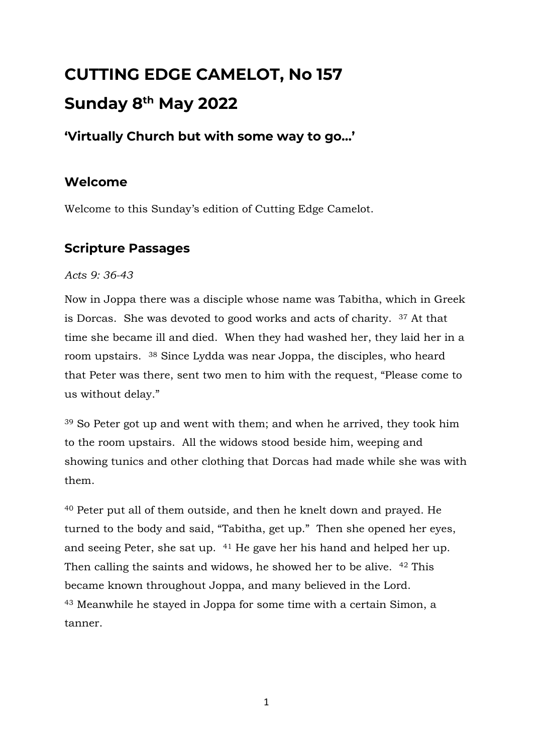# **CUTTING EDGE CAMELOT, No 157 Sunday 8 th May 2022**

## **'Virtually Church but with some way to go…'**

## **Welcome**

Welcome to this Sunday's edition of Cutting Edge Camelot.

## **Scripture Passages**

*Acts 9: 36-43*

Now in Joppa there was a disciple whose name was Tabitha, which in Greek is Dorcas. She was devoted to good works and acts of charity. <sup>37</sup> At that time she became ill and died. When they had washed her, they laid her in a room upstairs. <sup>38</sup> Since Lydda was near Joppa, the disciples, who heard that Peter was there, sent two men to him with the request, "Please come to us without delay."

<sup>39</sup> So Peter got up and went with them; and when he arrived, they took him to the room upstairs. All the widows stood beside him, weeping and showing tunics and other clothing that Dorcas had made while she was with them.

<sup>40</sup> Peter put all of them outside, and then he knelt down and prayed. He turned to the body and said, "Tabitha, get up." Then she opened her eyes, and seeing Peter, she sat up. <sup>41</sup> He gave her his hand and helped her up. Then calling the saints and widows, he showed her to be alive. <sup>42</sup> This became known throughout Joppa, and many believed in the Lord. <sup>43</sup> Meanwhile he stayed in Joppa for some time with a certain Simon, a tanner.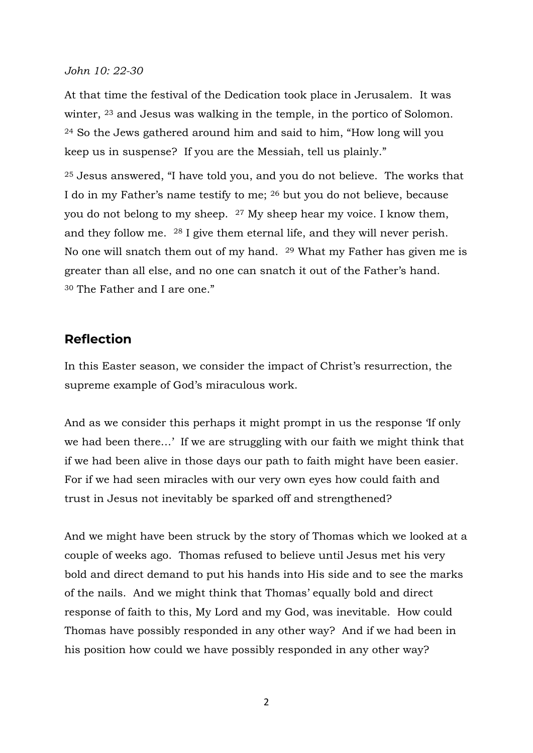#### *John 10: 22-30*

At that time the festival of the Dedication took place in Jerusalem. It was winter, <sup>23</sup> and Jesus was walking in the temple, in the portico of Solomon. <sup>24</sup> So the Jews gathered around him and said to him, "How long will you keep us in suspense? If you are the Messiah, tell us plainly."

<sup>25</sup> Jesus answered, "I have told you, and you do not believe. The works that I do in my Father's name testify to me; <sup>26</sup> but you do not believe, because you do not belong to my sheep. <sup>27</sup> My sheep hear my voice. I know them, and they follow me. <sup>28</sup> I give them eternal life, and they will never perish. No one will snatch them out of my hand. <sup>29</sup> What my Father has given me is greater than all else, and no one can snatch it out of the Father's hand. <sup>30</sup> The Father and I are one."

### **Reflection**

In this Easter season, we consider the impact of Christ's resurrection, the supreme example of God's miraculous work.

And as we consider this perhaps it might prompt in us the response 'If only we had been there…' If we are struggling with our faith we might think that if we had been alive in those days our path to faith might have been easier. For if we had seen miracles with our very own eyes how could faith and trust in Jesus not inevitably be sparked off and strengthened?

And we might have been struck by the story of Thomas which we looked at a couple of weeks ago. Thomas refused to believe until Jesus met his very bold and direct demand to put his hands into His side and to see the marks of the nails. And we might think that Thomas' equally bold and direct response of faith to this, My Lord and my God, was inevitable. How could Thomas have possibly responded in any other way? And if we had been in his position how could we have possibly responded in any other way?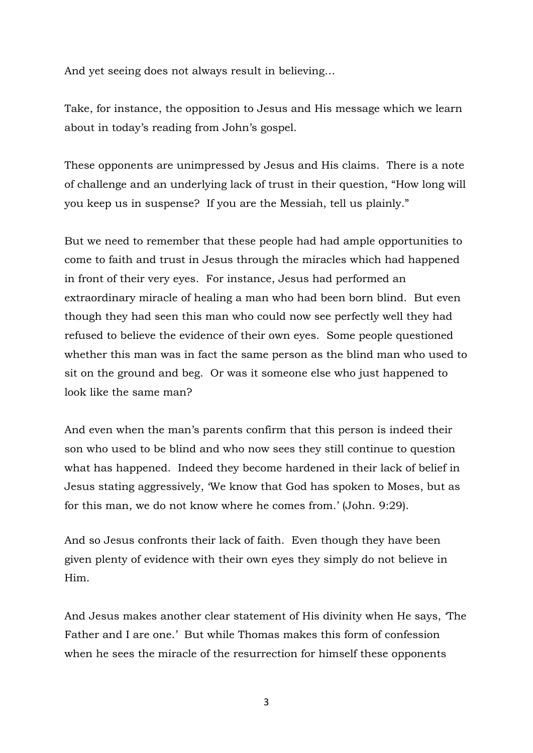And yet seeing does not always result in believing…

Take, for instance, the opposition to Jesus and His message which we learn about in today's reading from John's gospel.

These opponents are unimpressed by Jesus and His claims. There is a note of challenge and an underlying lack of trust in their question, "How long will you keep us in suspense? If you are the Messiah, tell us plainly."

But we need to remember that these people had had ample opportunities to come to faith and trust in Jesus through the miracles which had happened in front of their very eyes. For instance, Jesus had performed an extraordinary miracle of healing a man who had been born blind. But even though they had seen this man who could now see perfectly well they had refused to believe the evidence of their own eyes. Some people questioned whether this man was in fact the same person as the blind man who used to sit on the ground and beg. Or was it someone else who just happened to look like the same man?

And even when the man's parents confirm that this person is indeed their son who used to be blind and who now sees they still continue to question what has happened. Indeed they become hardened in their lack of belief in Jesus stating aggressively, 'We know that God has spoken to Moses, but as for this man, we do not know where he comes from.' (John. 9:29).

And so Jesus confronts their lack of faith. Even though they have been given plenty of evidence with their own eyes they simply do not believe in Him.

And Jesus makes another clear statement of His divinity when He says, 'The Father and I are one.' But while Thomas makes this form of confession when he sees the miracle of the resurrection for himself these opponents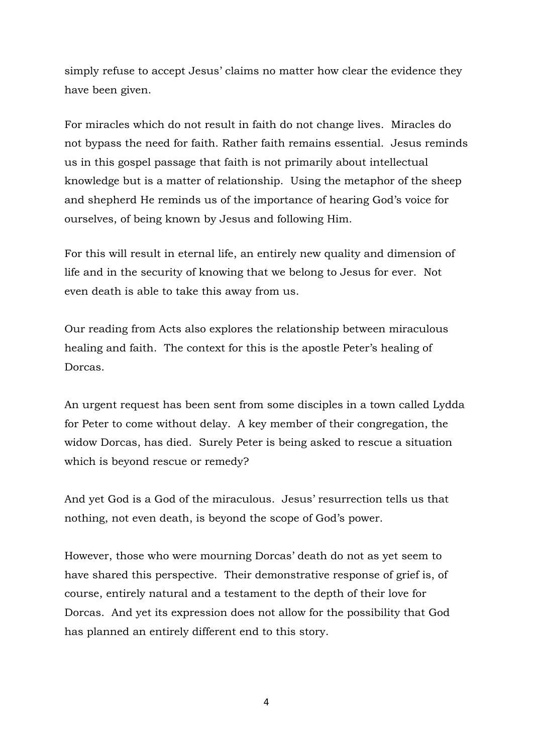simply refuse to accept Jesus' claims no matter how clear the evidence they have been given.

For miracles which do not result in faith do not change lives. Miracles do not bypass the need for faith. Rather faith remains essential. Jesus reminds us in this gospel passage that faith is not primarily about intellectual knowledge but is a matter of relationship. Using the metaphor of the sheep and shepherd He reminds us of the importance of hearing God's voice for ourselves, of being known by Jesus and following Him.

For this will result in eternal life, an entirely new quality and dimension of life and in the security of knowing that we belong to Jesus for ever. Not even death is able to take this away from us.

Our reading from Acts also explores the relationship between miraculous healing and faith. The context for this is the apostle Peter's healing of Dorcas.

An urgent request has been sent from some disciples in a town called Lydda for Peter to come without delay. A key member of their congregation, the widow Dorcas, has died. Surely Peter is being asked to rescue a situation which is beyond rescue or remedy?

And yet God is a God of the miraculous. Jesus' resurrection tells us that nothing, not even death, is beyond the scope of God's power.

However, those who were mourning Dorcas' death do not as yet seem to have shared this perspective. Their demonstrative response of grief is, of course, entirely natural and a testament to the depth of their love for Dorcas. And yet its expression does not allow for the possibility that God has planned an entirely different end to this story.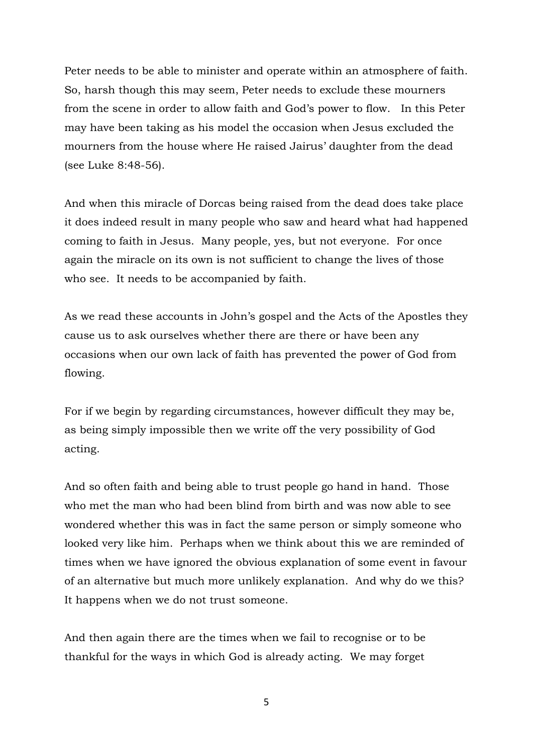Peter needs to be able to minister and operate within an atmosphere of faith. So, harsh though this may seem, Peter needs to exclude these mourners from the scene in order to allow faith and God's power to flow. In this Peter may have been taking as his model the occasion when Jesus excluded the mourners from the house where He raised Jairus' daughter from the dead (see Luke 8:48-56).

And when this miracle of Dorcas being raised from the dead does take place it does indeed result in many people who saw and heard what had happened coming to faith in Jesus. Many people, yes, but not everyone. For once again the miracle on its own is not sufficient to change the lives of those who see. It needs to be accompanied by faith.

As we read these accounts in John's gospel and the Acts of the Apostles they cause us to ask ourselves whether there are there or have been any occasions when our own lack of faith has prevented the power of God from flowing.

For if we begin by regarding circumstances, however difficult they may be, as being simply impossible then we write off the very possibility of God acting.

And so often faith and being able to trust people go hand in hand. Those who met the man who had been blind from birth and was now able to see wondered whether this was in fact the same person or simply someone who looked very like him. Perhaps when we think about this we are reminded of times when we have ignored the obvious explanation of some event in favour of an alternative but much more unlikely explanation. And why do we this? It happens when we do not trust someone.

And then again there are the times when we fail to recognise or to be thankful for the ways in which God is already acting. We may forget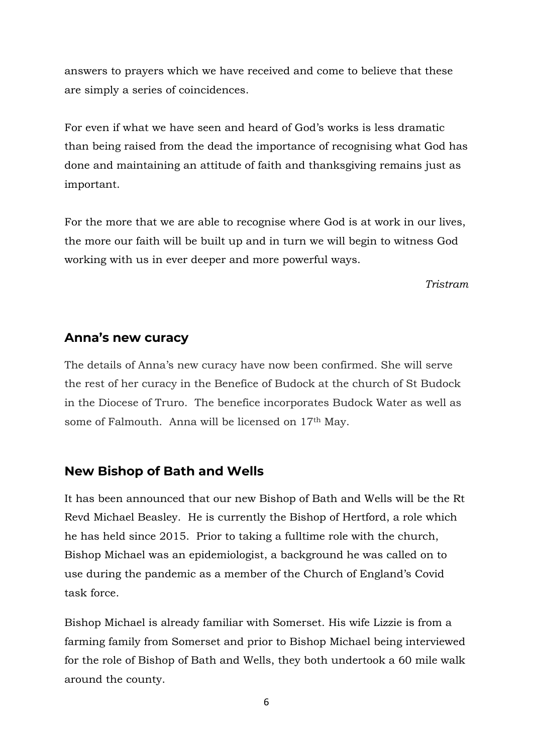answers to prayers which we have received and come to believe that these are simply a series of coincidences.

For even if what we have seen and heard of God's works is less dramatic than being raised from the dead the importance of recognising what God has done and maintaining an attitude of faith and thanksgiving remains just as important.

For the more that we are able to recognise where God is at work in our lives, the more our faith will be built up and in turn we will begin to witness God working with us in ever deeper and more powerful ways.

*Tristram*

#### **Anna's new curacy**

The details of Anna's new curacy have now been confirmed. She will serve the rest of her curacy in the Benefice of Budock at the church of St Budock in the Diocese of Truro. The benefice incorporates Budock Water as well as some of Falmouth. Anna will be licensed on 17th May.

### **New Bishop of Bath and Wells**

It has been announced that our new Bishop of Bath and Wells will be the Rt Revd Michael Beasley. He is currently the Bishop of Hertford, a role which he has held since 2015. Prior to taking a fulltime role with the church, Bishop Michael was an epidemiologist, a background he was called on to use during the pandemic as a member of the Church of England's Covid task force.

Bishop Michael is already familiar with Somerset. His wife Lizzie is from a farming family from Somerset and prior to Bishop Michael being interviewed for the role of Bishop of Bath and Wells, they both undertook a 60 mile walk around the county.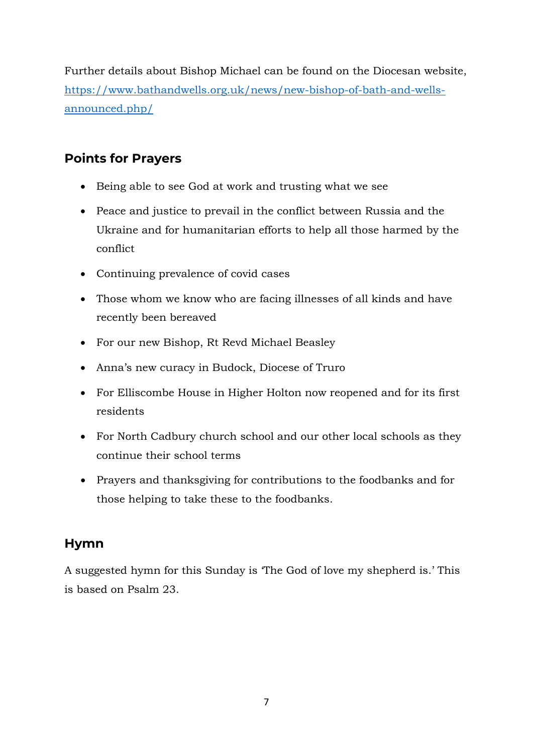Further details about Bishop Michael can be found on the Diocesan website, [https://www.bathandwells.org.uk/news/new-bishop-of-bath-and-wells](https://www.bathandwells.org.uk/news/new-bishop-of-bath-and-wells-announced.php/)[announced.php/](https://www.bathandwells.org.uk/news/new-bishop-of-bath-and-wells-announced.php/)

## **Points for Prayers**

- Being able to see God at work and trusting what we see
- Peace and justice to prevail in the conflict between Russia and the Ukraine and for humanitarian efforts to help all those harmed by the conflict
- Continuing prevalence of covid cases
- Those whom we know who are facing illnesses of all kinds and have recently been bereaved
- For our new Bishop, Rt Revd Michael Beasley
- Anna's new curacy in Budock, Diocese of Truro
- For Elliscombe House in Higher Holton now reopened and for its first residents
- For North Cadbury church school and our other local schools as they continue their school terms
- Prayers and thanksgiving for contributions to the foodbanks and for those helping to take these to the foodbanks.

## **Hymn**

A suggested hymn for this Sunday is 'The God of love my shepherd is.' This is based on Psalm 23.